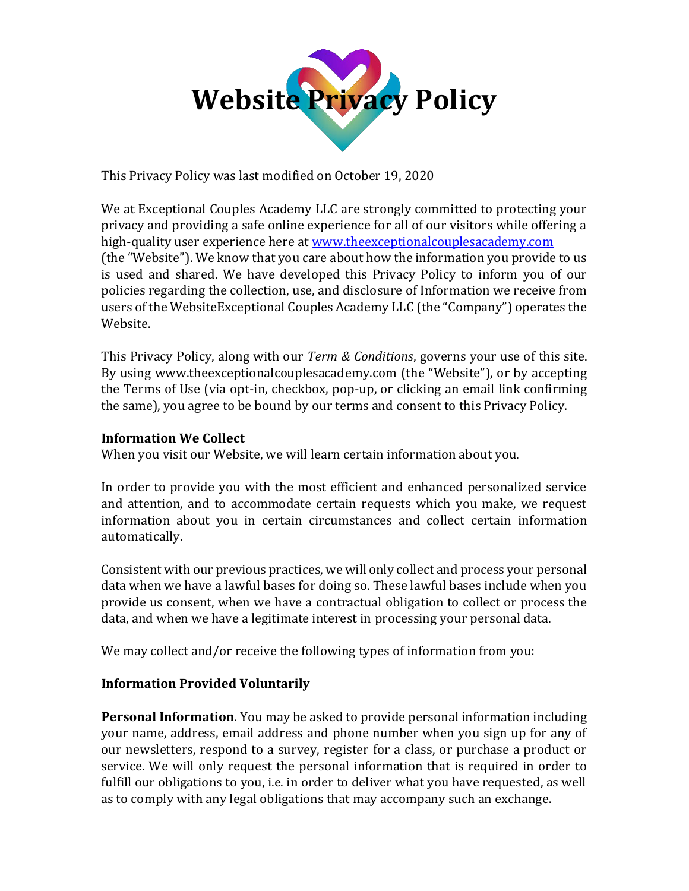

This Privacy Policy was last modified on October 19, 2020

We at Exceptional Couples Academy LLC are strongly committed to protecting your privacy and providing a safe online experience for all of our visitors while offering a high-quality user experience here at [www.theexceptionalcouplesacademy.com](http://www.theexceptionalcouplesacademy.com/) (the "Website"). We know that you care about how the information you provide to us is used and shared. We have developed this Privacy Policy to inform you of our policies regarding the collection, use, and disclosure of Information we receive from users of the WebsiteExceptional Couples Academy LLC (the "Company") operates the Website.

This Privacy Policy, along with our *Term & Conditions*, governs your use of this site. By using www.theexceptionalcouplesacademy.com (the "Website"), or by accepting the Terms of Use (via opt-in, checkbox, pop-up, or clicking an email link confirming the same), you agree to be bound by our terms and consent to this Privacy Policy.

## **Information We Collect**

When you visit our Website, we will learn certain information about you.

In order to provide you with the most efficient and enhanced personalized service and attention, and to accommodate certain requests which you make, we request information about you in certain circumstances and collect certain information automatically.

Consistent with our previous practices, we will only collect and process your personal data when we have a lawful bases for doing so. These lawful bases include when you provide us consent, when we have a contractual obligation to collect or process the data, and when we have a legitimate interest in processing your personal data.

We may collect and/or receive the following types of information from you:

# **Information Provided Voluntarily**

**Personal Information**. You may be asked to provide personal information including your name, address, email address and phone number when you sign up for any of our newsletters, respond to a survey, register for a class, or purchase a product or service. We will only request the personal information that is required in order to fulfill our obligations to you, i.e. in order to deliver what you have requested, as well as to comply with any legal obligations that may accompany such an exchange.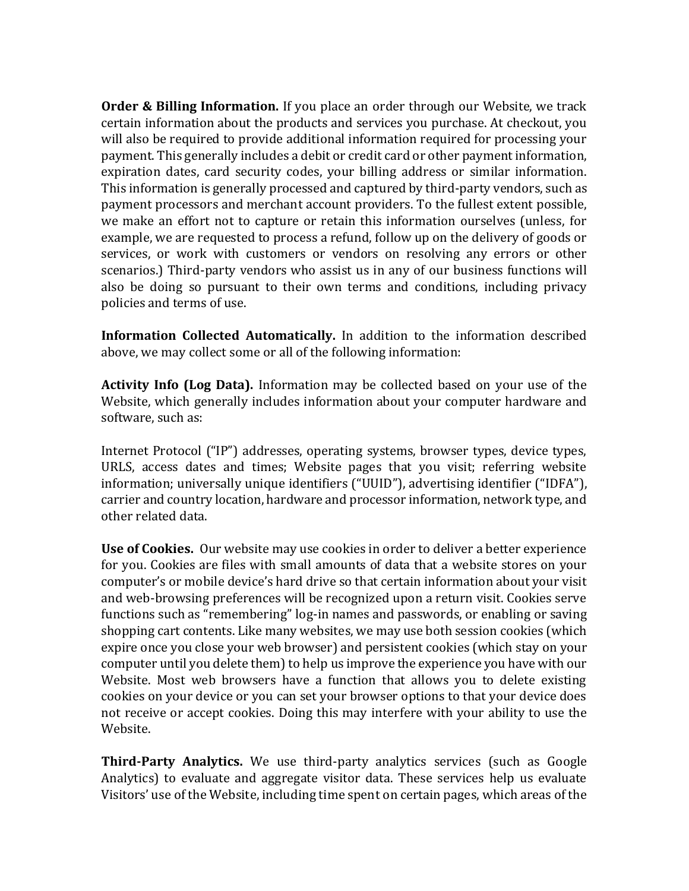**Order & Billing Information.** If you place an order through our Website, we track certain information about the products and services you purchase. At checkout, you will also be required to provide additional information required for processing your payment. This generally includes a debit or credit card or other payment information, expiration dates, card security codes, your billing address or similar information. This information is generally processed and captured by third-party vendors, such as payment processors and merchant account providers. To the fullest extent possible, we make an effort not to capture or retain this information ourselves (unless, for example, we are requested to process a refund, follow up on the delivery of goods or services, or work with customers or vendors on resolving any errors or other scenarios.) Third-party vendors who assist us in any of our business functions will also be doing so pursuant to their own terms and conditions, including privacy policies and terms of use.

**Information Collected Automatically.** In addition to the information described above, we may collect some or all of the following information:

**Activity Info (Log Data).** Information may be collected based on your use of the Website, which generally includes information about your computer hardware and software, such as:

Internet Protocol ("IP") addresses, operating systems, browser types, device types, URLS, access dates and times; Website pages that you visit; referring website information; universally unique identifiers ("UUID"), advertising identifier ("IDFA"), carrier and country location, hardware and processor information, network type, and other related data.

**Use of Cookies.** Our website may use cookies in order to deliver a better experience for you. Cookies are files with small amounts of data that a website stores on your computer's or mobile device's hard drive so that certain information about your visit and web-browsing preferences will be recognized upon a return visit. Cookies serve functions such as "remembering" log-in names and passwords, or enabling or saving shopping cart contents. Like many websites, we may use both session cookies (which expire once you close your web browser) and persistent cookies (which stay on your computer until you delete them) to help us improve the experience you have with our Website. Most web browsers have a function that allows you to delete existing cookies on your device or you can set your browser options to that your device does not receive or accept cookies. Doing this may interfere with your ability to use the Website.

**Third-Party Analytics.** We use third-party analytics services (such as Google Analytics) to evaluate and aggregate visitor data. These services help us evaluate Visitors' use of the Website, including time spent on certain pages, which areas of the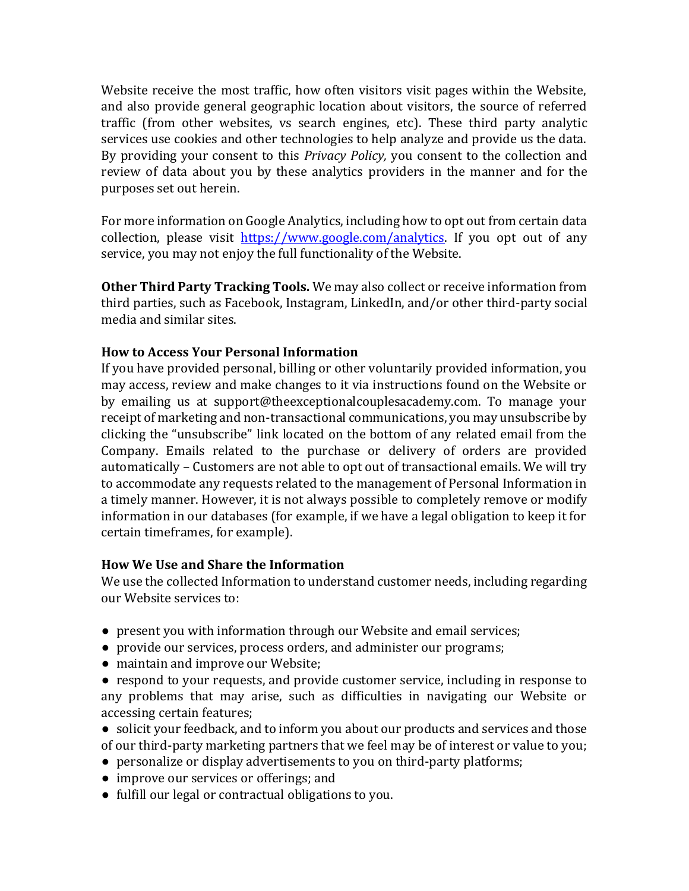Website receive the most traffic, how often visitors visit pages within the Website, and also provide general geographic location about visitors, the source of referred traffic (from other websites, vs search engines, etc). These third party analytic services use cookies and other technologies to help analyze and provide us the data. By providing your consent to this *Privacy Policy,* you consent to the collection and review of data about you by these analytics providers in the manner and for the purposes set out herein.

For more information on Google Analytics, including how to opt out from certain data collection, please visit [https://www.google.com/analytics.](https://www.google.com/analytics) If you opt out of any service, you may not enjoy the full functionality of the Website.

**Other Third Party Tracking Tools.** We may also collect or receive information from third parties, such as Facebook, Instagram, LinkedIn, and/or other third-party social media and similar sites.

### **How to Access Your Personal Information**

If you have provided personal, billing or other voluntarily provided information, you may access, review and make changes to it via instructions found on the Website or by emailing us at support@theexceptionalcouplesacademy.com. To manage your receipt of marketing and non-transactional communications, you may unsubscribe by clicking the "unsubscribe" link located on the bottom of any related email from the Company. Emails related to the purchase or delivery of orders are provided automatically – Customers are not able to opt out of transactional emails. We will try to accommodate any requests related to the management of Personal Information in a timely manner. However, it is not always possible to completely remove or modify information in our databases (for example, if we have a legal obligation to keep it for certain timeframes, for example).

#### **How We Use and Share the Information**

We use the collected Information to understand customer needs, including regarding our Website services to:

- present you with information through our Website and email services;
- provide our services, process orders, and administer our programs;
- maintain and improve our Website;
- respond to your requests, and provide customer service, including in response to any problems that may arise, such as difficulties in navigating our Website or accessing certain features;
- solicit your feedback, and to inform you about our products and services and those of our third-party marketing partners that we feel may be of interest or value to you;
- personalize or display advertisements to you on third-party platforms;
- improve our services or offerings; and
- fulfill our legal or contractual obligations to you.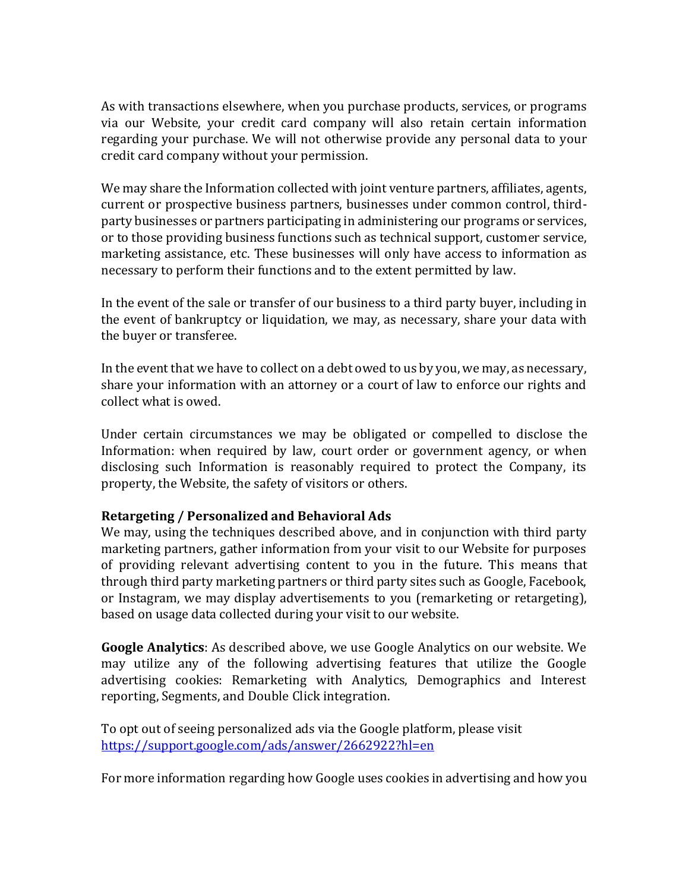As with transactions elsewhere, when you purchase products, services, or programs via our Website, your credit card company will also retain certain information regarding your purchase. We will not otherwise provide any personal data to your credit card company without your permission.

We may share the Information collected with joint venture partners, affiliates, agents, current or prospective business partners, businesses under common control, thirdparty businesses or partners participating in administering our programs or services, or to those providing business functions such as technical support, customer service, marketing assistance, etc. These businesses will only have access to information as necessary to perform their functions and to the extent permitted by law.

In the event of the sale or transfer of our business to a third party buyer, including in the event of bankruptcy or liquidation, we may, as necessary, share your data with the buyer or transferee.

In the event that we have to collect on a debt owed to us by you, we may, as necessary, share your information with an attorney or a court of law to enforce our rights and collect what is owed.

Under certain circumstances we may be obligated or compelled to disclose the Information: when required by law, court order or government agency, or when disclosing such Information is reasonably required to protect the Company, its property, the Website, the safety of visitors or others.

#### **Retargeting / Personalized and Behavioral Ads**

We may, using the techniques described above, and in conjunction with third party marketing partners, gather information from your visit to our Website for purposes of providing relevant advertising content to you in the future. This means that through third party marketing partners or third party sites such as Google, Facebook, or Instagram, we may display advertisements to you (remarketing or retargeting), based on usage data collected during your visit to our website.

**Google Analytics**: As described above, we use Google Analytics on our website. We may utilize any of the following advertising features that utilize the Google advertising cookies: Remarketing with Analytics, Demographics and Interest reporting, Segments, and Double Click integration.

To opt out of seeing personalized ads via the Google platform, please visit <https://support.google.com/ads/answer/2662922?hl=en>

For more information regarding how Google uses cookies in advertising and how you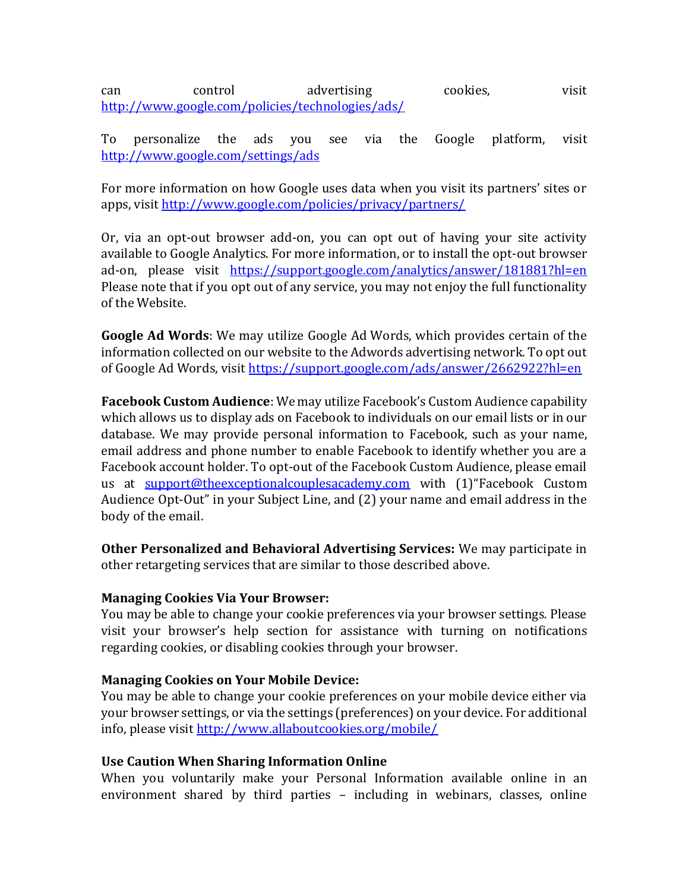can control advertising cookies, visit <http://www.google.com/policies/technologies/ads/>

To personalize the ads you see via the Google platform, visit <http://www.google.com/settings/ads>

For more information on how Google uses data when you visit its partners' sites or apps, visit<http://www.google.com/policies/privacy/partners/>

Or, via an opt-out browser add-on, you can opt out of having your site activity available to Google Analytics. For more information, or to install the opt-out browser ad-on, please visit https://support.google.com/analytics/answer/181881?hl=en Please note that if you opt out of any service, you may not enjoy the full functionality of the Website.

**Google Ad Words**: We may utilize Google Ad Words, which provides certain of the information collected on our website to the Adwords advertising network. To opt out of Google Ad Words, visit<https://support.google.com/ads/answer/2662922?hl=en>

**Facebook Custom Audience**: We may utilize Facebook's Custom Audience capability which allows us to display ads on Facebook to individuals on our email lists or in our database. We may provide personal information to Facebook, such as your name, email address and phone number to enable Facebook to identify whether you are a Facebook account holder. To opt-out of the Facebook Custom Audience, please email us at [support@theexceptionalcouplesacademy.com](mailto:support@theexceptionalcouplesacademy.com) with (1)"Facebook Custom Audience Opt-Out" in your Subject Line, and (2) your name and email address in the body of the email.

**Other Personalized and Behavioral Advertising Services:** We may participate in other retargeting services that are similar to those described above.

#### **Managing Cookies Via Your Browser:**

You may be able to change your cookie preferences via your browser settings. Please visit your browser's help section for assistance with turning on notifications regarding cookies, or disabling cookies through your browser.

### **Managing Cookies on Your Mobile Device:**

You may be able to change your cookie preferences on your mobile device either via your browser settings, or via the settings (preferences) on your device. For additional info, please visit<http://www.allaboutcookies.org/mobile/>

#### **Use Caution When Sharing Information Online**

When you voluntarily make your Personal Information available online in an environment shared by third parties – including in webinars, classes, online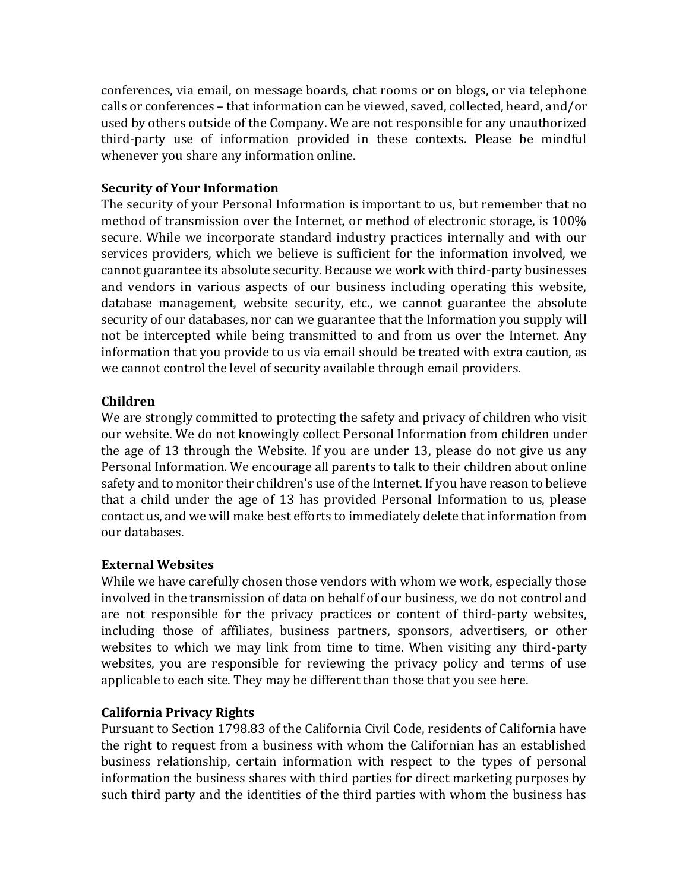conferences, via email, on message boards, chat rooms or on blogs, or via telephone calls or conferences – that information can be viewed, saved, collected, heard, and/or used by others outside of the Company. We are not responsible for any unauthorized third-party use of information provided in these contexts. Please be mindful whenever you share any information online.

### **Security of Your Information**

The security of your Personal Information is important to us, but remember that no method of transmission over the Internet, or method of electronic storage, is 100% secure. While we incorporate standard industry practices internally and with our services providers, which we believe is sufficient for the information involved, we cannot guarantee its absolute security. Because we work with third-party businesses and vendors in various aspects of our business including operating this website, database management, website security, etc., we cannot guarantee the absolute security of our databases, nor can we guarantee that the Information you supply will not be intercepted while being transmitted to and from us over the Internet. Any information that you provide to us via email should be treated with extra caution, as we cannot control the level of security available through email providers.

#### **Children**

We are strongly committed to protecting the safety and privacy of children who visit our website. We do not knowingly collect Personal Information from children under the age of 13 through the Website. If you are under 13, please do not give us any Personal Information. We encourage all parents to talk to their children about online safety and to monitor their children's use of the Internet. If you have reason to believe that a child under the age of 13 has provided Personal Information to us, please contact us, and we will make best efforts to immediately delete that information from our databases.

#### **External Websites**

While we have carefully chosen those vendors with whom we work, especially those involved in the transmission of data on behalf of our business, we do not control and are not responsible for the privacy practices or content of third-party websites, including those of affiliates, business partners, sponsors, advertisers, or other websites to which we may link from time to time. When visiting any third-party websites, you are responsible for reviewing the privacy policy and terms of use applicable to each site. They may be different than those that you see here.

#### **California Privacy Rights**

Pursuant to Section 1798.83 of the California Civil Code, residents of California have the right to request from a business with whom the Californian has an established business relationship, certain information with respect to the types of personal information the business shares with third parties for direct marketing purposes by such third party and the identities of the third parties with whom the business has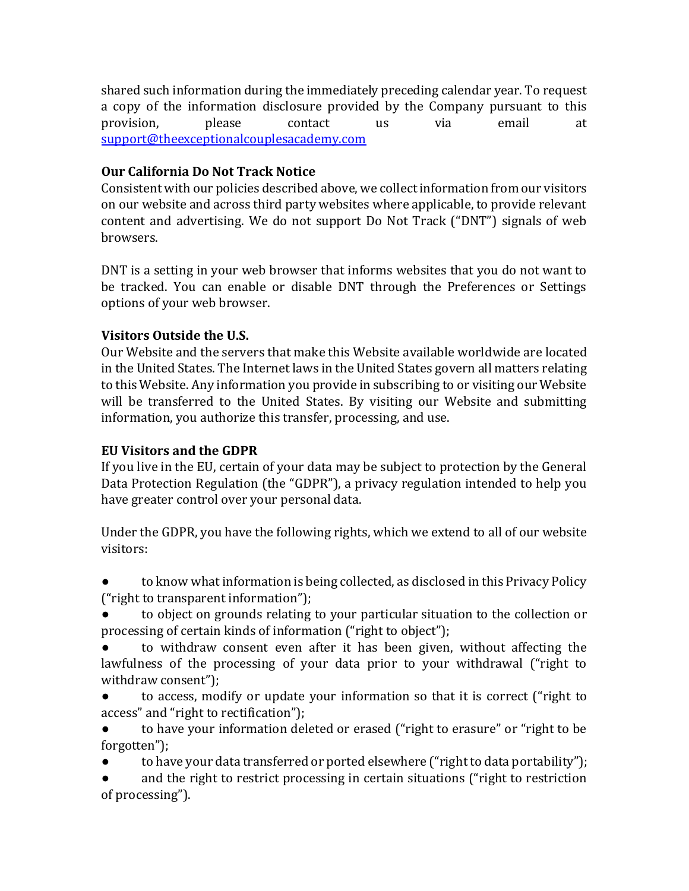shared such information during the immediately preceding calendar year. To request a copy of the information disclosure provided by the Company pursuant to this provision, please contact us via email at [support@theexceptionalcouplesacademy.com](mailto:support@theexceptionalcouplesacademy.com)

# **Our California Do Not Track Notice**

Consistent with our policies described above, we collect information from our visitors on our website and across third party websites where applicable, to provide relevant content and advertising. We do not support Do Not Track ("DNT") signals of web browsers.

DNT is a setting in your web browser that informs websites that you do not want to be tracked. You can enable or disable DNT through the Preferences or Settings options of your web browser.

# **Visitors Outside the U.S.**

Our Website and the servers that make this Website available worldwide are located in the United States. The Internet laws in the United States govern all matters relating to this Website. Any information you provide in subscribing to or visiting our Website will be transferred to the United States. By visiting our Website and submitting information, you authorize this transfer, processing, and use.

## **EU Visitors and the GDPR**

If you live in the EU, certain of your data may be subject to protection by the General Data Protection Regulation (the "GDPR"), a privacy regulation intended to help you have greater control over your personal data.

Under the GDPR, you have the following rights, which we extend to all of our website visitors:

to know what information is being collected, as disclosed in this Privacy Policy ("right to transparent information");

to object on grounds relating to your particular situation to the collection or processing of certain kinds of information ("right to object");

to withdraw consent even after it has been given, without affecting the lawfulness of the processing of your data prior to your withdrawal ("right to withdraw consent");

to access, modify or update your information so that it is correct ("right to access" and "right to rectification");

to have your information deleted or erased ("right to erasure" or "right to be forgotten");

to have your data transferred or ported elsewhere ("right to data portability");

and the right to restrict processing in certain situations ("right to restriction of processing").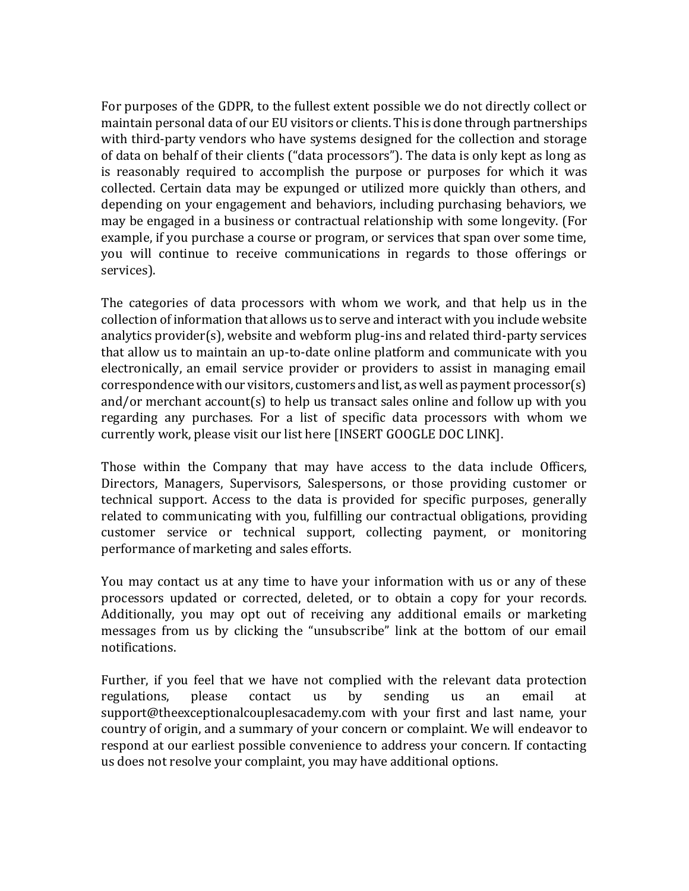For purposes of the GDPR, to the fullest extent possible we do not directly collect or maintain personal data of our EU visitors or clients. This is done through partnerships with third-party vendors who have systems designed for the collection and storage of data on behalf of their clients ("data processors"). The data is only kept as long as is reasonably required to accomplish the purpose or purposes for which it was collected. Certain data may be expunged or utilized more quickly than others, and depending on your engagement and behaviors, including purchasing behaviors, we may be engaged in a business or contractual relationship with some longevity. (For example, if you purchase a course or program, or services that span over some time, you will continue to receive communications in regards to those offerings or services).

The categories of data processors with whom we work, and that help us in the collection of information that allows us to serve and interact with you include website analytics provider(s), website and webform plug-ins and related third-party services that allow us to maintain an up-to-date online platform and communicate with you electronically, an email service provider or providers to assist in managing email correspondence with our visitors, customers and list, as well as payment processor(s) and/or merchant account(s) to help us transact sales online and follow up with you regarding any purchases. For a list of specific data processors with whom we currently work, please visit our list here [INSERT GOOGLE DOC LINK].

Those within the Company that may have access to the data include Officers, Directors, Managers, Supervisors, Salespersons, or those providing customer or technical support. Access to the data is provided for specific purposes, generally related to communicating with you, fulfilling our contractual obligations, providing customer service or technical support, collecting payment, or monitoring performance of marketing and sales efforts.

You may contact us at any time to have your information with us or any of these processors updated or corrected, deleted, or to obtain a copy for your records. Additionally, you may opt out of receiving any additional emails or marketing messages from us by clicking the "unsubscribe" link at the bottom of our email notifications.

Further, if you feel that we have not complied with the relevant data protection regulations, please contact us by sending us an email at support@theexceptionalcouplesacademy.com with your first and last name, your country of origin, and a summary of your concern or complaint. We will endeavor to respond at our earliest possible convenience to address your concern. If contacting us does not resolve your complaint, you may have additional options.